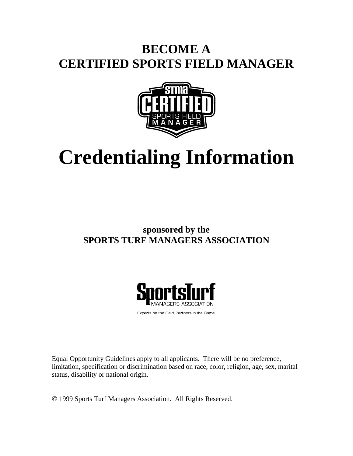# **BECOME A CERTIFIED SPORTS FIELD MANAGER**



# **Credentialing Information**

## **sponsored by the SPORTS TURF MANAGERS ASSOCIATION**



Experts on the Field, Partners in the Game.

Equal Opportunity Guidelines apply to all applicants. There will be no preference, limitation, specification or discrimination based on race, color, religion, age, sex, marital status, disability or national origin.

1999 Sports Turf Managers Association. All Rights Reserved.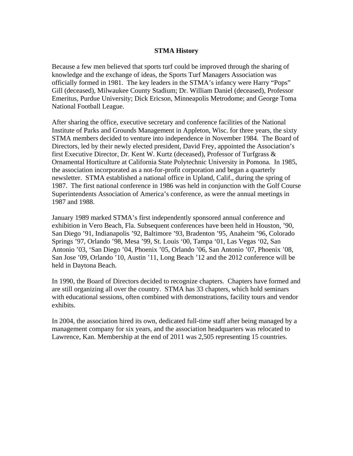#### **STMA History**

Because a few men believed that sports turf could be improved through the sharing of knowledge and the exchange of ideas, the Sports Turf Managers Association was officially formed in 1981. The key leaders in the STMA's infancy were Harry "Pops" Gill (deceased), Milwaukee County Stadium; Dr. William Daniel (deceased), Professor Emeritus, Purdue University; Dick Ericson, Minneapolis Metrodome; and George Toma National Football League.

After sharing the office, executive secretary and conference facilities of the National Institute of Parks and Grounds Management in Appleton, Wisc. for three years, the sixty STMA members decided to venture into independence in November 1984. The Board of Directors, led by their newly elected president, David Frey, appointed the Association's first Executive Director, Dr. Kent W. Kurtz (deceased), Professor of Turfgrass & Ornamental Horticulture at California State Polytechnic University in Pomona. In 1985, the association incorporated as a not-for-profit corporation and began a quarterly newsletter. STMA established a national office in Upland, Calif., during the spring of 1987. The first national conference in 1986 was held in conjunction with the Golf Course Superintendents Association of America's conference, as were the annual meetings in 1987 and 1988.

January 1989 marked STMA's first independently sponsored annual conference and exhibition in Vero Beach, Fla. Subsequent conferences have been held in Houston, '90, San Diego '91, Indianapolis '92, Baltimore '93, Bradenton '95, Anaheim '96, Colorado Springs '97, Orlando '98, Mesa '99, St. Louis '00, Tampa '01, Las Vegas '02, San Antonio '03, 'San Diego '04, Phoenix '05, Orlando '06, San Antonio '07, Phoenix '08, San Jose '09, Orlando '10, Austin '11, Long Beach '12 and the 2012 conference will be held in Daytona Beach.

In 1990, the Board of Directors decided to recognize chapters. Chapters have formed and are still organizing all over the country. STMA has 33 chapters, which hold seminars with educational sessions, often combined with demonstrations, facility tours and vendor exhibits.

In 2004, the association hired its own, dedicated full-time staff after being managed by a management company for six years, and the association headquarters was relocated to Lawrence, Kan. Membership at the end of 2011 was 2,505 representing 15 countries.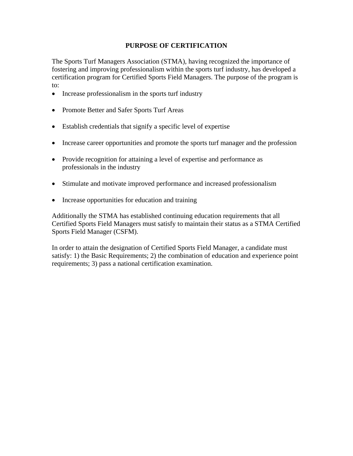#### **PURPOSE OF CERTIFICATION**

The Sports Turf Managers Association (STMA), having recognized the importance of fostering and improving professionalism within the sports turf industry, has developed a certification program for Certified Sports Field Managers. The purpose of the program is to:

- Increase professionalism in the sports turf industry
- Promote Better and Safer Sports Turf Areas
- Establish credentials that signify a specific level of expertise
- Increase career opportunities and promote the sports turf manager and the profession
- Provide recognition for attaining a level of expertise and performance as professionals in the industry
- Stimulate and motivate improved performance and increased professionalism
- Increase opportunities for education and training

Additionally the STMA has established continuing education requirements that all Certified Sports Field Managers must satisfy to maintain their status as a STMA Certified Sports Field Manager (CSFM).

In order to attain the designation of Certified Sports Field Manager, a candidate must satisfy: 1) the Basic Requirements; 2) the combination of education and experience point requirements; 3) pass a national certification examination.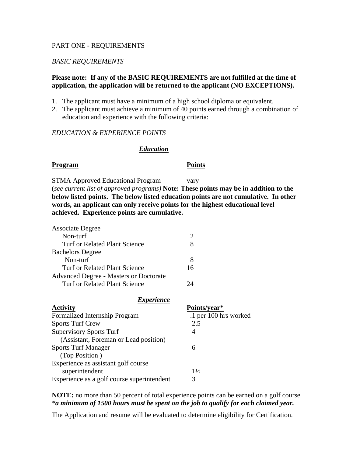#### PART ONE - REQUIREMENTS

#### *BASIC REQUIREMENTS*

#### **Please note: If any of the BASIC REQUIREMENTS are not fulfilled at the time of application, the application will be returned to the applicant (NO EXCEPTIONS).**

- 1. The applicant must have a minimum of a high school diploma or equivalent.
- 2. The applicant must achieve a minimum of 40 points earned through a combination of education and experience with the following criteria:

#### *EDUCATION & EXPERIENCE POINTS*

#### *Education*

#### Program Points

STMA Approved Educational Program vary (*see current list of approved programs)* **Note: These points may be in addition to the below listed points. The below listed education points are not cumulative. In other words, an applicant can only receive points for the highest educational level achieved. Experience points are cumulative.**

| <i>Experience</i>                             |                       |  |
|-----------------------------------------------|-----------------------|--|
| Turf or Related Plant Science                 | 24                    |  |
| <b>Advanced Degree - Masters or Doctorate</b> |                       |  |
| Turf or Related Plant Science                 | 16                    |  |
| Non-turf                                      | 8                     |  |
| <b>Bachelors</b> Degree                       |                       |  |
| Turf or Related Plant Science                 | 8                     |  |
| Non-turf                                      | $\mathcal{D}_{\cdot}$ |  |
| <b>Associate Degree</b>                       |                       |  |

| Points/year*          |
|-----------------------|
| .1 per 100 hrs worked |
| 2.5                   |
| 4                     |
|                       |
| 6                     |
|                       |
|                       |
| $1\frac{1}{2}$        |
| 3                     |
|                       |

**NOTE:** no more than 50 percent of total experience points can be earned on a golf course *\*a minimum of 1500 hours must be spent on the job to qualify for each claimed year.* 

The Application and resume will be evaluated to determine eligibility for Certification.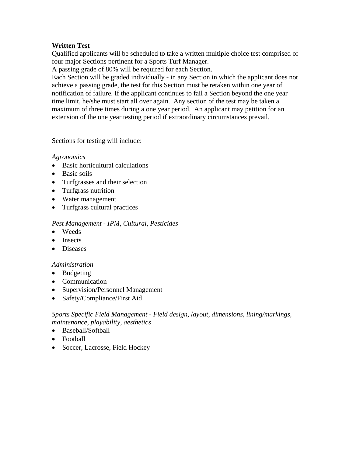### **Written Test**

Qualified applicants will be scheduled to take a written multiple choice test comprised of four major Sections pertinent for a Sports Turf Manager.

A passing grade of 80% will be required for each Section.

Each Section will be graded individually - in any Section in which the applicant does not achieve a passing grade, the test for this Section must be retaken within one year of notification of failure. If the applicant continues to fail a Section beyond the one year time limit, he/she must start all over again. Any section of the test may be taken a maximum of three times during a one year period. An applicant may petition for an extension of the one year testing period if extraordinary circumstances prevail.

Sections for testing will include:

#### *Agronomics*

- Basic horticultural calculations
- Basic soils
- Turfgrasses and their selection
- Turfgrass nutrition
- Water management
- Turfgrass cultural practices

#### *Pest Management - IPM, Cultural, Pesticides*

- Weeds
- Insects
- Diseases

#### *Administration*

- Budgeting
- Communication
- Supervision/Personnel Management
- Safety/Compliance/First Aid

*Sports Specific Field Management - Field design, layout, dimensions, lining/markings, maintenance, playability, aesthetics* 

- Baseball/Softball
- Football
- Soccer, Lacrosse, Field Hockey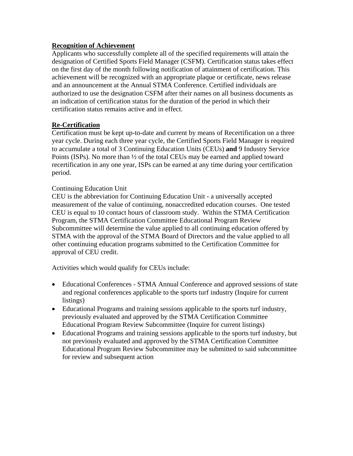#### **Recognition of Achievement**

Applicants who successfully complete all of the specified requirements will attain the designation of Certified Sports Field Manager (CSFM). Certification status takes effect on the first day of the month following notification of attainment of certification. This achievement will be recognized with an appropriate plaque or certificate, news release and an announcement at the Annual STMA Conference. Certified individuals are authorized to use the designation CSFM after their names on all business documents as an indication of certification status for the duration of the period in which their certification status remains active and in effect.

### **Re-Certification**

Certification must be kept up-to-date and current by means of Recertification on a three year cycle. During each three year cycle, the Certified Sports Field Manager is required to accumulate a total of 3 Continuing Education Units (CEUs) **and** 9 Industry Service Points (ISPs). No more than ½ of the total CEUs may be earned and applied toward recertification in any one year, ISPs can be earned at any time during your certification period.

#### Continuing Education Unit

CEU is the abbreviation for Continuing Education Unit - a universally accepted measurement of the value of continuing, nonaccredited education courses. One tested CEU is equal to 10 contact hours of classroom study. Within the STMA Certification Program, the STMA Certification Committee Educational Program Review Subcommittee will determine the value applied to all continuing education offered by STMA with the approval of the STMA Board of Directors and the value applied to all other continuing education programs submitted to the Certification Committee for approval of CEU credit.

Activities which would qualify for CEUs include:

- Educational Conferences STMA Annual Conference and approved sessions of state and regional conferences applicable to the sports turf industry (Inquire for current listings)
- Educational Programs and training sessions applicable to the sports turf industry, previously evaluated and approved by the STMA Certification Committee Educational Program Review Subcommittee (Inquire for current listings)
- Educational Programs and training sessions applicable to the sports turf industry, but not previously evaluated and approved by the STMA Certification Committee Educational Program Review Subcommittee may be submitted to said subcommittee for review and subsequent action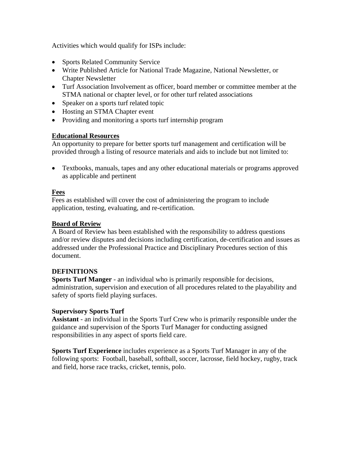Activities which would qualify for ISPs include:

- Sports Related Community Service
- Write Published Article for National Trade Magazine, National Newsletter, or Chapter Newsletter
- Turf Association Involvement as officer, board member or committee member at the STMA national or chapter level, or for other turf related associations
- Speaker on a sports turf related topic
- Hosting an STMA Chapter event
- Providing and monitoring a sports turf internship program

#### **Educational Resources**

An opportunity to prepare for better sports turf management and certification will be provided through a listing of resource materials and aids to include but not limited to:

 Textbooks, manuals, tapes and any other educational materials or programs approved as applicable and pertinent

#### **Fees**

Fees as established will cover the cost of administering the program to include application, testing, evaluating, and re-certification.

#### **Board of Review**

A Board of Review has been established with the responsibility to address questions and/or review disputes and decisions including certification, de-certification and issues as addressed under the Professional Practice and Disciplinary Procedures section of this document.

#### **DEFINITIONS**

**Sports Turf Manger** - an individual who is primarily responsible for decisions, administration, supervision and execution of all procedures related to the playability and safety of sports field playing surfaces.

#### **Supervisory Sports Turf**

**Assistant** - an individual in the Sports Turf Crew who is primarily responsible under the guidance and supervision of the Sports Turf Manager for conducting assigned responsibilities in any aspect of sports field care.

**Sports Turf Experience** includes experience as a Sports Turf Manager in any of the following sports: Football, baseball, softball, soccer, lacrosse, field hockey, rugby, track and field, horse race tracks, cricket, tennis, polo.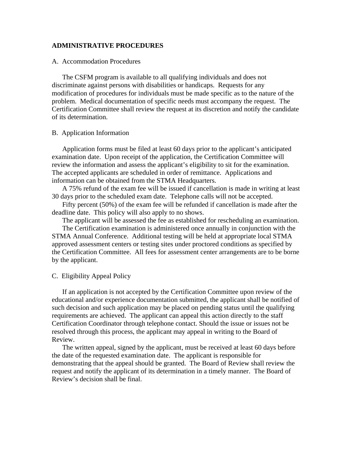#### **ADMINISTRATIVE PROCEDURES**

#### A. Accommodation Procedures

The CSFM program is available to all qualifying individuals and does not discriminate against persons with disabilities or handicaps. Requests for any modification of procedures for individuals must be made specific as to the nature of the problem. Medical documentation of specific needs must accompany the request. The Certification Committee shall review the request at its discretion and notify the candidate of its determination.

#### B. Application Information

Application forms must be filed at least 60 days prior to the applicant's anticipated examination date. Upon receipt of the application, the Certification Committee will review the information and assess the applicant's eligibility to sit for the examination. The accepted applicants are scheduled in order of remittance. Applications and information can be obtained from the STMA Headquarters.

 A 75% refund of the exam fee will be issued if cancellation is made in writing at least 30 days prior to the scheduled exam date. Telephone calls will not be accepted.

 Fifty percent (50%) of the exam fee will be refunded if cancellation is made after the deadline date. This policy will also apply to no shows.

The applicant will be assessed the fee as established for rescheduling an examination.

 The Certification examination is administered once annually in conjunction with the STMA Annual Conference. Additional testing will be held at appropriate local STMA approved assessment centers or testing sites under proctored conditions as specified by the Certification Committee. All fees for assessment center arrangements are to be borne by the applicant.

#### C. Eligibility Appeal Policy

 If an application is not accepted by the Certification Committee upon review of the educational and/or experience documentation submitted, the applicant shall be notified of such decision and such application may be placed on pending status until the qualifying requirements are achieved. The applicant can appeal this action directly to the staff Certification Coordinator through telephone contact. Should the issue or issues not be resolved through this process, the applicant may appeal in writing to the Board of Review.

 The written appeal, signed by the applicant, must be received at least 60 days before the date of the requested examination date. The applicant is responsible for demonstrating that the appeal should be granted. The Board of Review shall review the request and notify the applicant of its determination in a timely manner. The Board of Review's decision shall be final.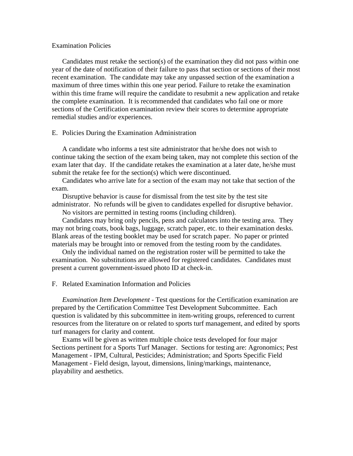#### Examination Policies

Candidates must retake the section(s) of the examination they did not pass within one year of the date of notification of their failure to pass that section or sections of their most recent examination. The candidate may take any unpassed section of the examination a maximum of three times within this one year period. Failure to retake the examination within this time frame will require the candidate to resubmit a new application and retake the complete examination. It is recommended that candidates who fail one or more sections of the Certification examination review their scores to determine appropriate remedial studies and/or experiences.

#### E. Policies During the Examination Administration

 A candidate who informs a test site administrator that he/she does not wish to continue taking the section of the exam being taken, may not complete this section of the exam later that day. If the candidate retakes the examination at a later date, he/she must submit the retake fee for the section(s) which were discontinued.

 Candidates who arrive late for a section of the exam may not take that section of the exam.

 Disruptive behavior is cause for dismissal from the test site by the test site administrator. No refunds will be given to candidates expelled for disruptive behavior.

No visitors are permitted in testing rooms (including children).

 Candidates may bring only pencils, pens and calculators into the testing area. They may not bring coats, book bags, luggage, scratch paper, etc. to their examination desks. Blank areas of the testing booklet may be used for scratch paper. No paper or printed materials may be brought into or removed from the testing room by the candidates.

 Only the individual named on the registration roster will be permitted to take the examination. No substitutions are allowed for registered candidates. Candidates must present a current government-issued photo ID at check-in.

F. Related Examination Information and Policies

*Examination Item Development* - Test questions for the Certification examination are prepared by the Certification Committee Test Development Subcommittee. Each question is validated by this subcommittee in item-writing groups, referenced to current resources from the literature on or related to sports turf management, and edited by sports turf managers for clarity and content.

 Exams will be given as written multiple choice tests developed for four major Sections pertinent for a Sports Turf Manager. Sections for testing are: Agronomics; Pest Management - IPM, Cultural, Pesticides; Administration; and Sports Specific Field Management - Field design, layout, dimensions, lining/markings, maintenance, playability and aesthetics.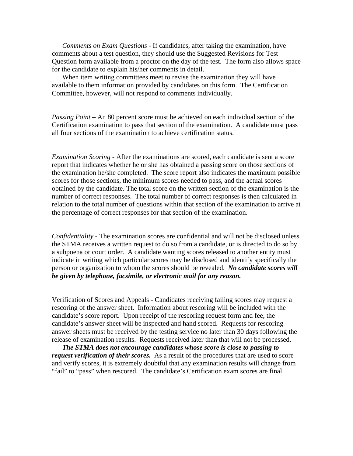*Comments on Exam Questions* - If candidates, after taking the examination, have comments about a test question, they should use the Suggested Revisions for Test Question form available from a proctor on the day of the test. The form also allows space for the candidate to explain his/her comments in detail.

 When item writing committees meet to revise the examination they will have available to them information provided by candidates on this form. The Certification Committee, however, will not respond to comments individually.

*Passing Point* – An 80 percent score must be achieved on each individual section of the Certification examination to pass that section of the examination. A candidate must pass all four sections of the examination to achieve certification status.

*Examination Scoring* - After the examinations are scored, each candidate is sent a score report that indicates whether he or she has obtained a passing score on those sections of the examination he/she completed. The score report also indicates the maximum possible scores for those sections, the minimum scores needed to pass, and the actual scores obtained by the candidate. The total score on the written section of the examination is the number of correct responses. The total number of correct responses is then calculated in relation to the total number of questions within that section of the examination to arrive at the percentage of correct responses for that section of the examination.

*Confidentiality* - The examination scores are confidential and will not be disclosed unless the STMA receives a written request to do so from a candidate, or is directed to do so by a subpoena or court order. A candidate wanting scores released to another entity must indicate in writing which particular scores may be disclosed and identify specifically the person or organization to whom the scores should be revealed. *No candidate scores will be given by telephone, facsimile, or electronic mail for any reason.*

Verification of Scores and Appeals - Candidates receiving failing scores may request a rescoring of the answer sheet. Information about rescoring will be included with the candidate's score report. Upon receipt of the rescoring request form and fee, the candidate's answer sheet will be inspected and hand scored. Requests for rescoring answer sheets must be received by the testing service no later than 30 days following the release of examination results. Requests received later than that will not be processed.

*The STMA does not encourage candidates whose score is close to passing to request verification of their scores.* As a result of the procedures that are used to score and verify scores, it is extremely doubtful that any examination results will change from "fail" to "pass" when rescored. The candidate's Certification exam scores are final.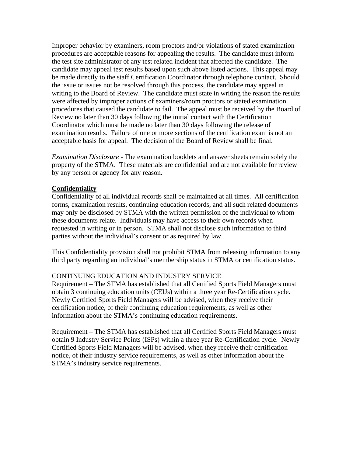Improper behavior by examiners, room proctors and/or violations of stated examination procedures are acceptable reasons for appealing the results. The candidate must inform the test site administrator of any test related incident that affected the candidate. The candidate may appeal test results based upon such above listed actions. This appeal may be made directly to the staff Certification Coordinator through telephone contact. Should the issue or issues not be resolved through this process, the candidate may appeal in writing to the Board of Review. The candidate must state in writing the reason the results were affected by improper actions of examiners/room proctors or stated examination procedures that caused the candidate to fail. The appeal must be received by the Board of Review no later than 30 days following the initial contact with the Certification Coordinator which must be made no later than 30 days following the release of examination results. Failure of one or more sections of the certification exam is not an acceptable basis for appeal. The decision of the Board of Review shall be final.

*Examination Disclosure* - The examination booklets and answer sheets remain solely the property of the STMA. These materials are confidential and are not available for review by any person or agency for any reason.

#### **Confidentiality**

Confidentiality of all individual records shall be maintained at all times. All certification forms, examination results, continuing education records, and all such related documents may only be disclosed by STMA with the written permission of the individual to whom these documents relate. Individuals may have access to their own records when requested in writing or in person. STMA shall not disclose such information to third parties without the individual's consent or as required by law.

This Confidentiality provision shall not prohibit STMA from releasing information to any third party regarding an individual's membership status in STMA or certification status.

#### CONTINUING EDUCATION AND INDUSTRY SERVICE

Requirement – The STMA has established that all Certified Sports Field Managers must obtain 3 continuing education units (CEUs) within a three year Re-Certification cycle. Newly Certified Sports Field Managers will be advised, when they receive their certification notice, of their continuing education requirements, as well as other information about the STMA's continuing education requirements.

Requirement – The STMA has established that all Certified Sports Field Managers must obtain 9 Industry Service Points (ISPs) within a three year Re-Certification cycle. Newly Certified Sports Field Managers will be advised, when they receive their certification notice, of their industry service requirements, as well as other information about the STMA's industry service requirements.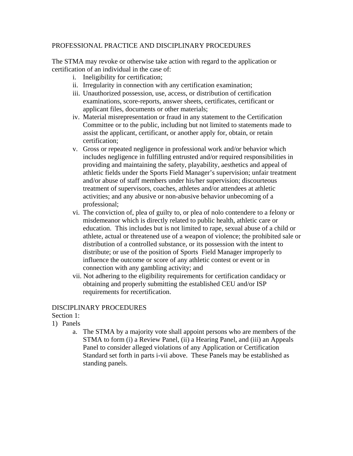#### PROFESSIONAL PRACTICE AND DISCIPLINARY PROCEDURES

The STMA may revoke or otherwise take action with regard to the application or certification of an individual in the case of:

- i. Ineligibility for certification;
- ii. Irregularity in connection with any certification examination;
- iii. Unauthorized possession, use, access, or distribution of certification examinations, score-reports, answer sheets, certificates, certificant or applicant files, documents or other materials;
- iv. Material misrepresentation or fraud in any statement to the Certification Committee or to the public, including but not limited to statements made to assist the applicant, certificant, or another apply for, obtain, or retain certification;
- v. Gross or repeated negligence in professional work and/or behavior which includes negligence in fulfilling entrusted and/or required responsibilities in providing and maintaining the safety, playability, aesthetics and appeal of athletic fields under the Sports Field Manager's supervision; unfair treatment and/or abuse of staff members under his/her supervision; discourteous treatment of supervisors, coaches, athletes and/or attendees at athletic activities; and any abusive or non-abusive behavior unbecoming of a professional;
- vi. The conviction of, plea of guilty to, or plea of nolo contendere to a felony or misdemeanor which is directly related to public health, athletic care or education. This includes but is not limited to rape, sexual abuse of a child or athlete, actual or threatened use of a weapon of violence; the prohibited sale or distribution of a controlled substance, or its possession with the intent to distribute; or use of the position of Sports Field Manager improperly to influence the outcome or score of any athletic contest or event or in connection with any gambling activity; and
- vii. Not adhering to the eligibility requirements for certification candidacy or obtaining and properly submitting the established CEU and/or ISP requirements for recertification.

#### DISCIPLINARY PROCEDURES

Section 1:

- 1) Panels
	- a. The STMA by a majority vote shall appoint persons who are members of the STMA to form (i) a Review Panel, (ii) a Hearing Panel, and (iii) an Appeals Panel to consider alleged violations of any Application or Certification Standard set forth in parts i-vii above. These Panels may be established as standing panels.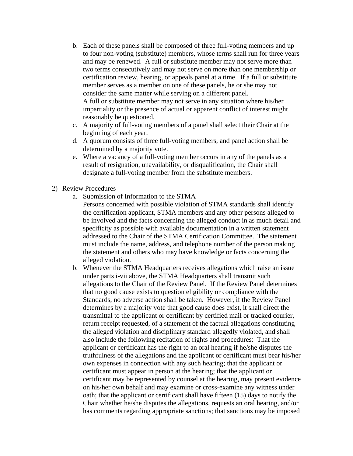- b. Each of these panels shall be composed of three full-voting members and up to four non-voting (substitute) members, whose terms shall run for three years and may be renewed. A full or substitute member may not serve more than two terms consecutively and may not serve on more than one membership or certification review, hearing, or appeals panel at a time. If a full or substitute member serves as a member on one of these panels, he or she may not consider the same matter while serving on a different panel. A full or substitute member may not serve in any situation where his/her impartiality or the presence of actual or apparent conflict of interest might reasonably be questioned.
- c. A majority of full-voting members of a panel shall select their Chair at the beginning of each year.
- d. A quorum consists of three full-voting members, and panel action shall be determined by a majority vote.
- e. Where a vacancy of a full-voting member occurs in any of the panels as a result of resignation, unavailability, or disqualification, the Chair shall designate a full-voting member from the substitute members.
- 2) Review Procedures
	- a. Submission of Information to the STMA
		- Persons concerned with possible violation of STMA standards shall identify the certification applicant, STMA members and any other persons alleged to be involved and the facts concerning the alleged conduct in as much detail and specificity as possible with available documentation in a written statement addressed to the Chair of the STMA Certification Committee. The statement must include the name, address, and telephone number of the person making the statement and others who may have knowledge or facts concerning the alleged violation.
	- b. Whenever the STMA Headquarters receives allegations which raise an issue under parts i-vii above, the STMA Headquarters shall transmit such allegations to the Chair of the Review Panel. If the Review Panel determines that no good cause exists to question eligibility or compliance with the Standards, no adverse action shall be taken. However, if the Review Panel determines by a majority vote that good cause does exist, it shall direct the transmittal to the applicant or certificant by certified mail or tracked courier, return receipt requested, of a statement of the factual allegations constituting the alleged violation and disciplinary standard allegedly violated, and shall also include the following recitation of rights and procedures: That the applicant or certificant has the right to an oral hearing if he/she disputes the truthfulness of the allegations and the applicant or certificant must bear his/her own expenses in connection with any such hearing; that the applicant or certificant must appear in person at the hearing; that the applicant or certificant may be represented by counsel at the hearing, may present evidence on his/her own behalf and may examine or cross-examine any witness under oath; that the applicant or certificant shall have fifteen (15) days to notify the Chair whether he/she disputes the allegations, requests an oral hearing, and/or has comments regarding appropriate sanctions; that sanctions may be imposed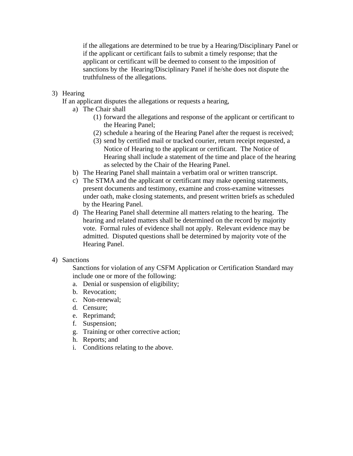if the allegations are determined to be true by a Hearing/Disciplinary Panel or if the applicant or certificant fails to submit a timely response; that the applicant or certificant will be deemed to consent to the imposition of sanctions by the Hearing/Disciplinary Panel if he/she does not dispute the truthfulness of the allegations.

#### 3) Hearing

If an applicant disputes the allegations or requests a hearing,

- a) The Chair shall
	- (1) forward the allegations and response of the applicant or certificant to the Hearing Panel;
	- (2) schedule a hearing of the Hearing Panel after the request is received;
	- (3) send by certified mail or tracked courier, return receipt requested, a Notice of Hearing to the applicant or certificant. The Notice of Hearing shall include a statement of the time and place of the hearing as selected by the Chair of the Hearing Panel.
- b) The Hearing Panel shall maintain a verbatim oral or written transcript.
- c) The STMA and the applicant or certificant may make opening statements, present documents and testimony, examine and cross-examine witnesses under oath, make closing statements, and present written briefs as scheduled by the Hearing Panel.
- d) The Hearing Panel shall determine all matters relating to the hearing. The hearing and related matters shall be determined on the record by majority vote. Formal rules of evidence shall not apply. Relevant evidence may be admitted. Disputed questions shall be determined by majority vote of the Hearing Panel.

#### 4) Sanctions

Sanctions for violation of any CSFM Application or Certification Standard may include one or more of the following:

- a. Denial or suspension of eligibility;
- b. Revocation;
- c. Non-renewal;
- d. Censure;
- e. Reprimand;
- f. Suspension;
- g. Training or other corrective action;
- h. Reports; and
- i. Conditions relating to the above.